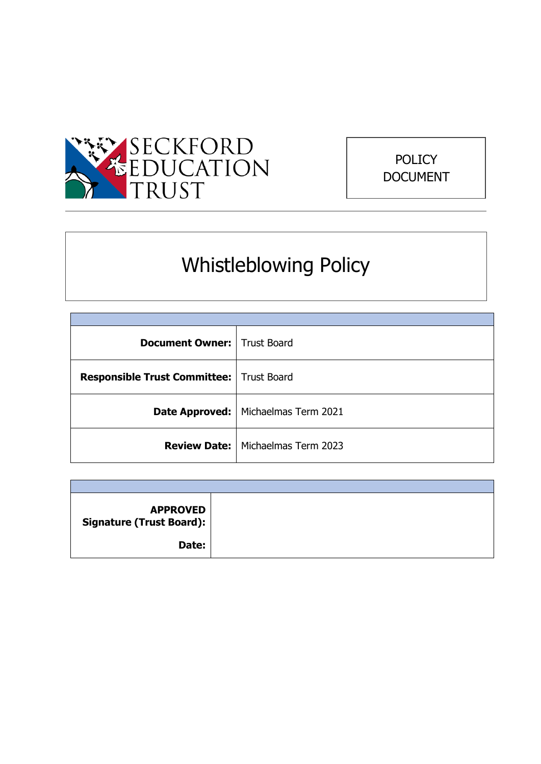

# POLICY DOCUMENT

# Whistleblowing Policy

| <b>Document Owner:</b>   Trust Board       |                                            |  |
|--------------------------------------------|--------------------------------------------|--|
| Responsible Trust Committee:   Trust Board |                                            |  |
|                                            | Date Approved:   Michaelmas Term 2021      |  |
|                                            | <b>Review Date:   Michaelmas Term 2023</b> |  |

| <b>APPROVED</b><br><b>Signature (Trust Board):</b> |  |
|----------------------------------------------------|--|
| Date:                                              |  |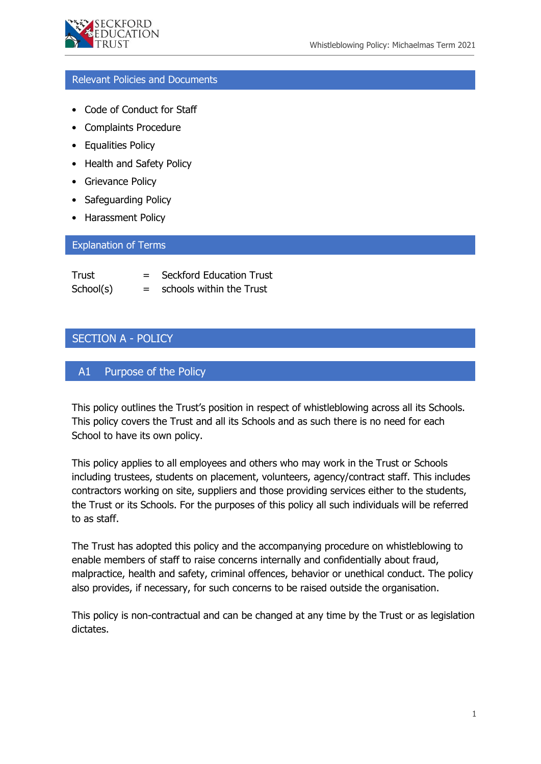

# Relevant Policies and Documents

- Code of Conduct for Staff
- Complaints Procedure
- Equalities Policy
- Health and Safety Policy
- Grievance Policy
- Safeguarding Policy
- Harassment Policy

#### Explanation of Terms

| Trust     |     | <b>Seckford Education Trust</b> |
|-----------|-----|---------------------------------|
| School(s) | $=$ | schools within the Trust        |

# SECTION A - POLICY

# A1 Purpose of the Policy

This policy outlines the Trust's position in respect of whistleblowing across all its Schools. This policy covers the Trust and all its Schools and as such there is no need for each School to have its own policy.

This policy applies to all employees and others who may work in the Trust or Schools including trustees, students on placement, volunteers, agency/contract staff. This includes contractors working on site, suppliers and those providing services either to the students, the Trust or its Schools. For the purposes of this policy all such individuals will be referred to as staff.

The Trust has adopted this policy and the accompanying procedure on whistleblowing to enable members of staff to raise concerns internally and confidentially about fraud, malpractice, health and safety, criminal offences, behavior or unethical conduct. The policy also provides, if necessary, for such concerns to be raised outside the organisation.

This policy is non-contractual and can be changed at any time by the Trust or as legislation dictates.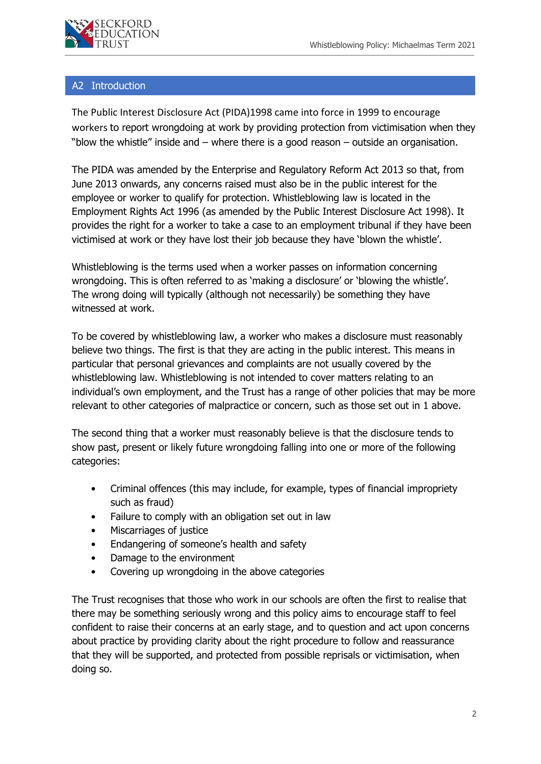

# A2 Introduction

The Public Interest Disclosure Act (PIDA)1998 came into force in 1999 to encourage workers to report wrongdoing at work by providing protection from victimisation when they "blow the whistle" inside and – where there is a good reason – outside an organisation.

The PIDA was amended by the Enterprise and Regulatory Reform Act 2013 so that, from June 2013 onwards, any concerns raised must also be in the public interest for the employee or worker to qualify for protection. Whistleblowing law is located in the Employment Rights Act 1996 (as amended by the Public Interest Disclosure Act 1998). It provides the right for a worker to take a case to an employment tribunal if they have been victimised at work or they have lost their job because they have 'blown the whistle'.

Whistleblowing is the terms used when a worker passes on information concerning wrongdoing. This is often referred to as 'making a disclosure' or 'blowing the whistle'. The wrong doing will typically (although not necessarily) be something they have witnessed at work.

To be covered by whistleblowing law, a worker who makes a disclosure must reasonably believe two things. The first is that they are acting in the public interest. This means in particular that personal grievances and complaints are not usually covered by the whistleblowing law. Whistleblowing is not intended to cover matters relating to an individual's own employment, and the Trust has a range of other policies that may be more relevant to other categories of malpractice or concern, such as those set out in 1 above.

The second thing that a worker must reasonably believe is that the disclosure tends to show past, present or likely future wrongdoing falling into one or more of the following categories:

- Criminal offences (this may include, for example, types of financial impropriety such as fraud)
- Failure to comply with an obligation set out in law
- Miscarriages of justice
- Endangering of someone's health and safety
- Damage to the environment
- Covering up wrongdoing in the above categories

The Trust recognises that those who work in our schools are often the first to realise that there may be something seriously wrong and this policy aims to encourage staff to feel confident to raise their concerns at an early stage, and to question and act upon concerns about practice by providing clarity about the right procedure to follow and reassurance that they will be supported, and protected from possible reprisals or victimisation, when doing so.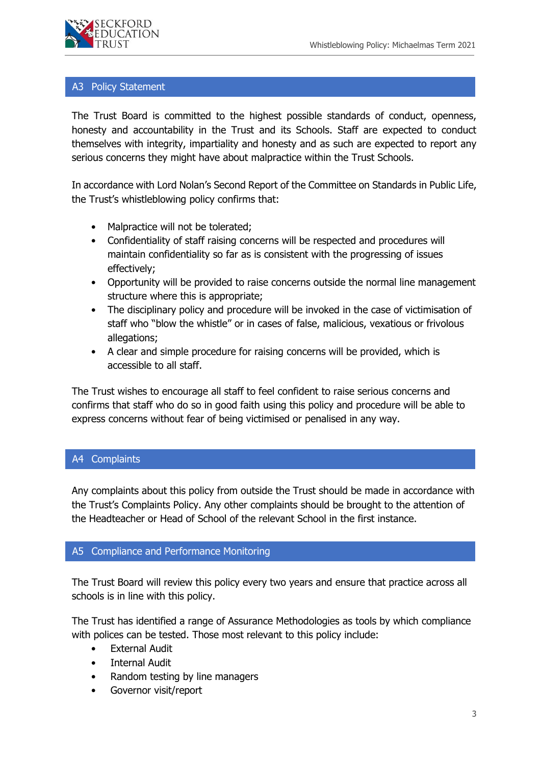

#### A3 Policy Statement

The Trust Board is committed to the highest possible standards of conduct, openness, honesty and accountability in the Trust and its Schools. Staff are expected to conduct themselves with integrity, impartiality and honesty and as such are expected to report any serious concerns they might have about malpractice within the Trust Schools.

In accordance with Lord Nolan's Second Report of the Committee on Standards in Public Life, the Trust's whistleblowing policy confirms that:

- Malpractice will not be tolerated;
- Confidentiality of staff raising concerns will be respected and procedures will maintain confidentiality so far as is consistent with the progressing of issues effectively;
- Opportunity will be provided to raise concerns outside the normal line management structure where this is appropriate;
- The disciplinary policy and procedure will be invoked in the case of victimisation of staff who "blow the whistle" or in cases of false, malicious, vexatious or frivolous allegations;
- A clear and simple procedure for raising concerns will be provided, which is accessible to all staff.

The Trust wishes to encourage all staff to feel confident to raise serious concerns and confirms that staff who do so in good faith using this policy and procedure will be able to express concerns without fear of being victimised or penalised in any way.

# A4 Complaints

Any complaints about this policy from outside the Trust should be made in accordance with the Trust's Complaints Policy. Any other complaints should be brought to the attention of the Headteacher or Head of School of the relevant School in the first instance.

# A5 Compliance and Performance Monitoring

The Trust Board will review this policy every two years and ensure that practice across all schools is in line with this policy.

The Trust has identified a range of Assurance Methodologies as tools by which compliance with polices can be tested. Those most relevant to this policy include:

- External Audit
- **Internal Audit**
- Random testing by line managers
- Governor visit/report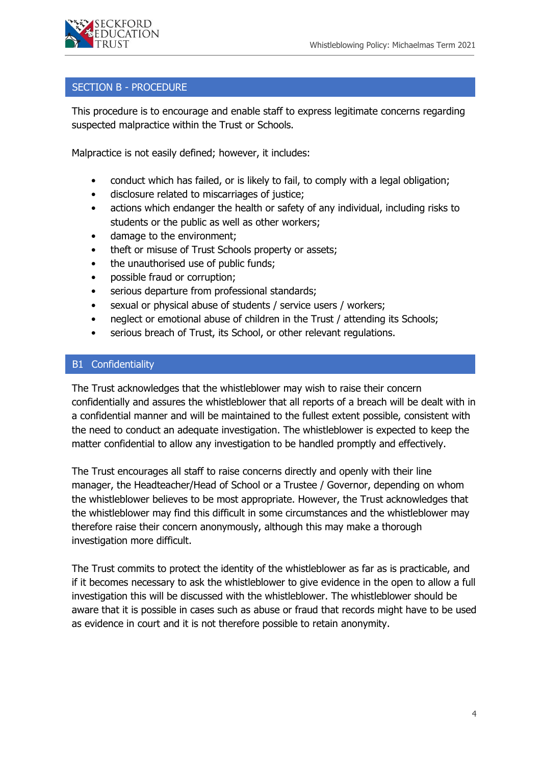# SECTION B - PROCEDURE

This procedure is to encourage and enable staff to express legitimate concerns regarding suspected malpractice within the Trust or Schools.

Malpractice is not easily defined; however, it includes:

- conduct which has failed, or is likely to fail, to comply with a legal obligation;
- disclosure related to miscarriages of justice;
- actions which endanger the health or safety of any individual, including risks to students or the public as well as other workers;
- damage to the environment;
- theft or misuse of Trust Schools property or assets;
- the unauthorised use of public funds;
- possible fraud or corruption;
- serious departure from professional standards;
- sexual or physical abuse of students / service users / workers;
- neglect or emotional abuse of children in the Trust / attending its Schools;
- serious breach of Trust, its School, or other relevant regulations.

# B1 Confidentiality

The Trust acknowledges that the whistleblower may wish to raise their concern confidentially and assures the whistleblower that all reports of a breach will be dealt with in a confidential manner and will be maintained to the fullest extent possible, consistent with the need to conduct an adequate investigation. The whistleblower is expected to keep the matter confidential to allow any investigation to be handled promptly and effectively.

The Trust encourages all staff to raise concerns directly and openly with their line manager, the Headteacher/Head of School or a Trustee / Governor, depending on whom the whistleblower believes to be most appropriate. However, the Trust acknowledges that the whistleblower may find this difficult in some circumstances and the whistleblower may therefore raise their concern anonymously, although this may make a thorough investigation more difficult.

The Trust commits to protect the identity of the whistleblower as far as is practicable, and if it becomes necessary to ask the whistleblower to give evidence in the open to allow a full investigation this will be discussed with the whistleblower. The whistleblower should be aware that it is possible in cases such as abuse or fraud that records might have to be used as evidence in court and it is not therefore possible to retain anonymity.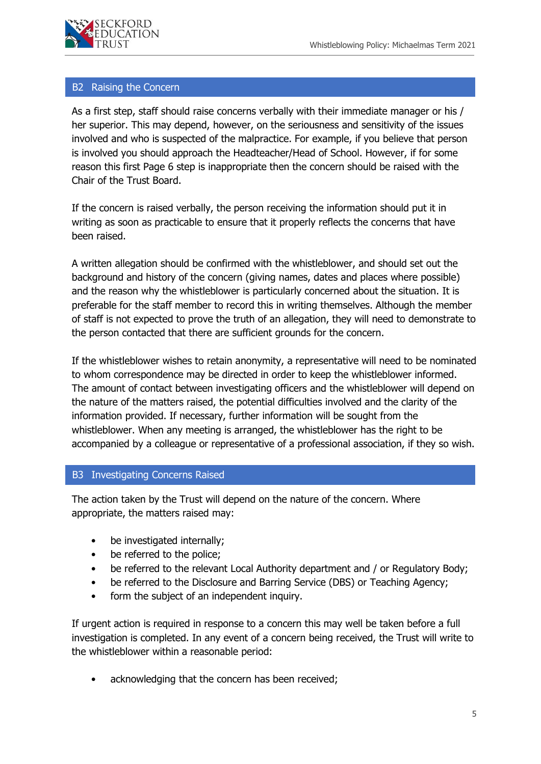

#### B2 Raising the Concern

As a first step, staff should raise concerns verbally with their immediate manager or his / her superior. This may depend, however, on the seriousness and sensitivity of the issues involved and who is suspected of the malpractice. For example, if you believe that person is involved you should approach the Headteacher/Head of School. However, if for some reason this first Page 6 step is inappropriate then the concern should be raised with the Chair of the Trust Board.

If the concern is raised verbally, the person receiving the information should put it in writing as soon as practicable to ensure that it properly reflects the concerns that have been raised.

A written allegation should be confirmed with the whistleblower, and should set out the background and history of the concern (giving names, dates and places where possible) and the reason why the whistleblower is particularly concerned about the situation. It is preferable for the staff member to record this in writing themselves. Although the member of staff is not expected to prove the truth of an allegation, they will need to demonstrate to the person contacted that there are sufficient grounds for the concern.

If the whistleblower wishes to retain anonymity, a representative will need to be nominated to whom correspondence may be directed in order to keep the whistleblower informed. The amount of contact between investigating officers and the whistleblower will depend on the nature of the matters raised, the potential difficulties involved and the clarity of the information provided. If necessary, further information will be sought from the whistleblower. When any meeting is arranged, the whistleblower has the right to be accompanied by a colleague or representative of a professional association, if they so wish.

# B3 Investigating Concerns Raised

The action taken by the Trust will depend on the nature of the concern. Where appropriate, the matters raised may:

- be investigated internally;
- be referred to the police;
- be referred to the relevant Local Authority department and / or Regulatory Body;
- be referred to the Disclosure and Barring Service (DBS) or Teaching Agency;
- form the subject of an independent inquiry.

If urgent action is required in response to a concern this may well be taken before a full investigation is completed. In any event of a concern being received, the Trust will write to the whistleblower within a reasonable period:

acknowledging that the concern has been received;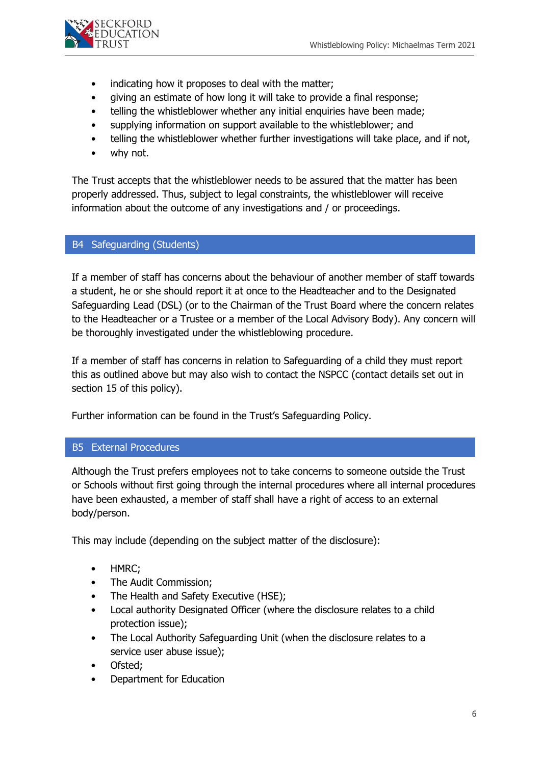

- indicating how it proposes to deal with the matter;
- giving an estimate of how long it will take to provide a final response;
- telling the whistleblower whether any initial enquiries have been made;
- supplying information on support available to the whistleblower; and
- telling the whistleblower whether further investigations will take place, and if not,
- why not.

The Trust accepts that the whistleblower needs to be assured that the matter has been properly addressed. Thus, subject to legal constraints, the whistleblower will receive information about the outcome of any investigations and / or proceedings.

# B4 Safeguarding (Students)

If a member of staff has concerns about the behaviour of another member of staff towards a student, he or she should report it at once to the Headteacher and to the Designated Safeguarding Lead (DSL) (or to the Chairman of the Trust Board where the concern relates to the Headteacher or a Trustee or a member of the Local Advisory Body). Any concern will be thoroughly investigated under the whistleblowing procedure.

If a member of staff has concerns in relation to Safeguarding of a child they must report this as outlined above but may also wish to contact the NSPCC (contact details set out in section 15 of this policy).

Further information can be found in the Trust's Safeguarding Policy.

# B5 External Procedures

Although the Trust prefers employees not to take concerns to someone outside the Trust or Schools without first going through the internal procedures where all internal procedures have been exhausted, a member of staff shall have a right of access to an external body/person.

This may include (depending on the subject matter of the disclosure):

- HMRC;
- The Audit Commission;
- The Health and Safety Executive (HSE);
- Local authority Designated Officer (where the disclosure relates to a child protection issue);
- The Local Authority Safeguarding Unit (when the disclosure relates to a service user abuse issue);
- Ofsted;
- Department for Education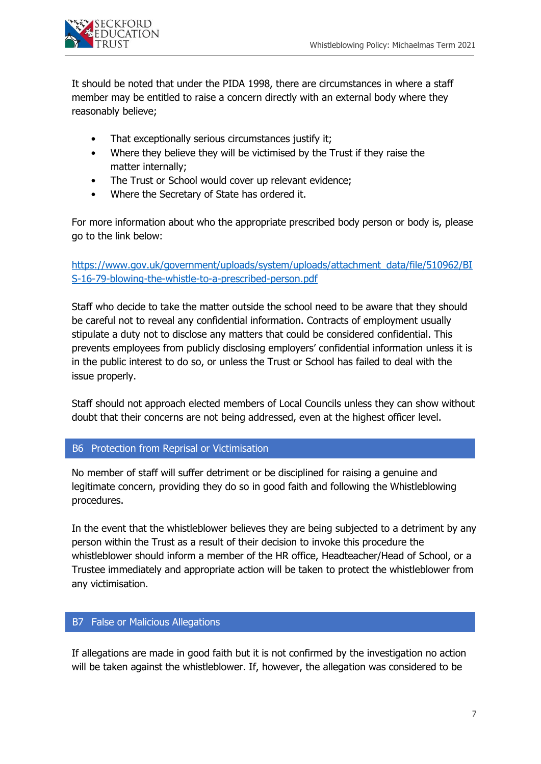

It should be noted that under the PIDA 1998, there are circumstances in where a staff member may be entitled to raise a concern directly with an external body where they reasonably believe;

- That exceptionally serious circumstances justify it;
- Where they believe they will be victimised by the Trust if they raise the matter internally;
- The Trust or School would cover up relevant evidence;
- Where the Secretary of State has ordered it.

For more information about who the appropriate prescribed body person or body is, please go to the link below:

[https://www.gov.uk/government/uploads/system/uploads/attachment\\_data/file/510962/BI](https://www.gov.uk/government/uploads/system/uploads/attachment_data/file/510962/BIS-16-79-blowing-the-whistle-to-a-prescribed-person.pdf) [S-16-79-blowing-the-whistle-to-a-prescribed-person.pdf](https://www.gov.uk/government/uploads/system/uploads/attachment_data/file/510962/BIS-16-79-blowing-the-whistle-to-a-prescribed-person.pdf)

Staff who decide to take the matter outside the school need to be aware that they should be careful not to reveal any confidential information. Contracts of employment usually stipulate a duty not to disclose any matters that could be considered confidential. This prevents employees from publicly disclosing employers' confidential information unless it is in the public interest to do so, or unless the Trust or School has failed to deal with the issue properly.

Staff should not approach elected members of Local Councils unless they can show without doubt that their concerns are not being addressed, even at the highest officer level.

# B6 Protection from Reprisal or Victimisation

No member of staff will suffer detriment or be disciplined for raising a genuine and legitimate concern, providing they do so in good faith and following the Whistleblowing procedures.

In the event that the whistleblower believes they are being subjected to a detriment by any person within the Trust as a result of their decision to invoke this procedure the whistleblower should inform a member of the HR office, Headteacher/Head of School, or a Trustee immediately and appropriate action will be taken to protect the whistleblower from any victimisation.

# B7 False or Malicious Allegations

If allegations are made in good faith but it is not confirmed by the investigation no action will be taken against the whistleblower. If, however, the allegation was considered to be